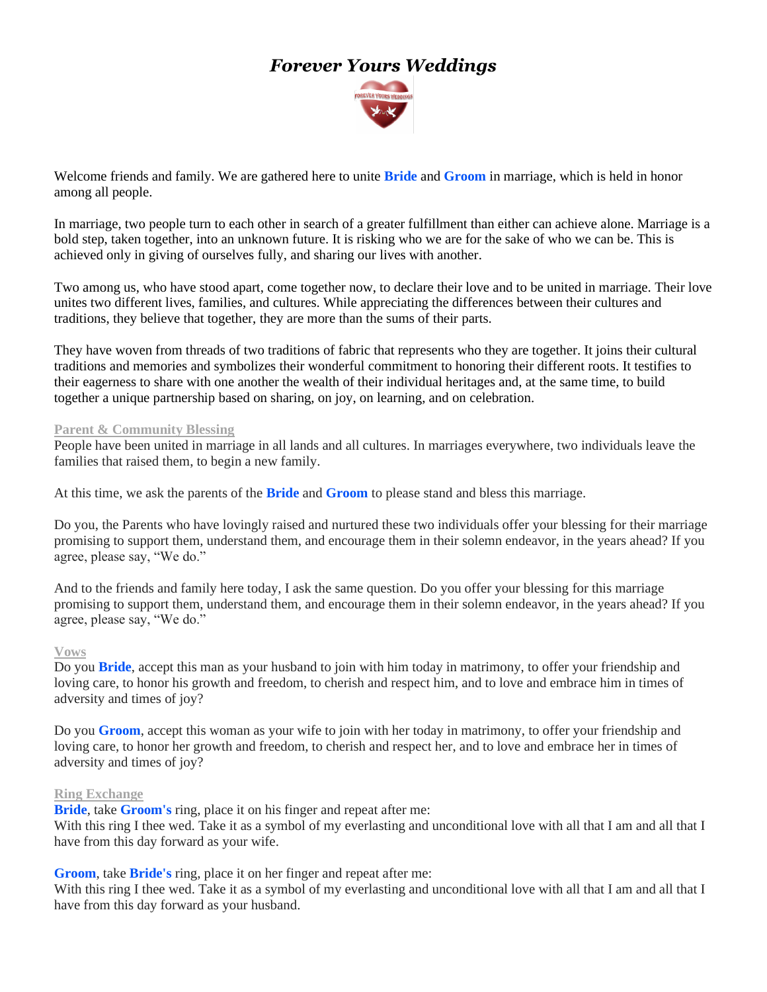# *Forever Yours Weddings*



Welcome friends and family. We are gathered here to unite **Bride** and **Groom** in marriage, which is held in honor among all people.

In marriage, two people turn to each other in search of a greater fulfillment than either can achieve alone. Marriage is a bold step, taken together, into an unknown future. It is risking who we are for the sake of who we can be. This is achieved only in giving of ourselves fully, and sharing our lives with another.

Two among us, who have stood apart, come together now, to declare their love and to be united in marriage. Their love unites two different lives, families, and cultures. While appreciating the differences between their cultures and traditions, they believe that together, they are more than the sums of their parts.

They have woven from threads of two traditions of fabric that represents who they are together. It joins their cultural traditions and memories and symbolizes their wonderful commitment to honoring their different roots. It testifies to their eagerness to share with one another the wealth of their individual heritages and, at the same time, to build together a unique partnership based on sharing, on joy, on learning, and on celebration.

#### **Parent & Community Blessing**

People have been united in marriage in all lands and all cultures. In marriages everywhere, two individuals leave the families that raised them, to begin a new family.

At this time, we ask the parents of the **Bride** and **Groom** to please stand and bless this marriage.

Do you, the Parents who have lovingly raised and nurtured these two individuals offer your blessing for their marriage promising to support them, understand them, and encourage them in their solemn endeavor, in the years ahead? If you agree, please say, "We do."

And to the friends and family here today, I ask the same question. Do you offer your blessing for this marriage promising to support them, understand them, and encourage them in their solemn endeavor, in the years ahead? If you agree, please say, "We do."

#### **Vows**

Do you **Bride**, accept this man as your husband to join with him today in matrimony, to offer your friendship and loving care, to honor his growth and freedom, to cherish and respect him, and to love and embrace him in times of adversity and times of joy?

Do you **Groom**, accept this woman as your wife to join with her today in matrimony, to offer your friendship and loving care, to honor her growth and freedom, to cherish and respect her, and to love and embrace her in times of adversity and times of joy?

#### **Ring Exchange**

**Bride**, take **Groom's** ring, place it on his finger and repeat after me:

With this ring I thee wed. Take it as a symbol of my everlasting and unconditional love with all that I am and all that I have from this day forward as your wife.

**Groom**, take **Bride's** ring, place it on her finger and repeat after me:

With this ring I thee wed. Take it as a symbol of my everlasting and unconditional love with all that I am and all that I have from this day forward as your husband.